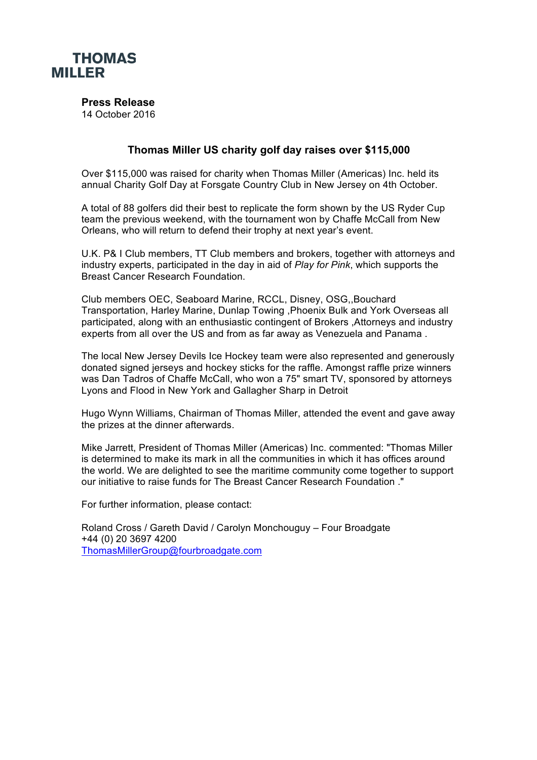

**Press Release**

14 October 2016

## **Thomas Miller US charity golf day raises over \$115,000**

Over \$115,000 was raised for charity when Thomas Miller (Americas) Inc. held its annual Charity Golf Day at Forsgate Country Club in New Jersey on 4th October.

A total of 88 golfers did their best to replicate the form shown by the US Ryder Cup team the previous weekend, with the tournament won by Chaffe McCall from New Orleans, who will return to defend their trophy at next year's event.

U.K. P& I Club members, TT Club members and brokers, together with attorneys and industry experts, participated in the day in aid of *Play for Pink*, which supports the Breast Cancer Research Foundation.

Club members OEC, Seaboard Marine, RCCL, Disney, OSG,,Bouchard Transportation, Harley Marine, Dunlap Towing ,Phoenix Bulk and York Overseas all participated, along with an enthusiastic contingent of Brokers ,Attorneys and industry experts from all over the US and from as far away as Venezuela and Panama .

The local New Jersey Devils Ice Hockey team were also represented and generously donated signed jerseys and hockey sticks for the raffle. Amongst raffle prize winners was Dan Tadros of Chaffe McCall, who won a 75" smart TV, sponsored by attorneys Lyons and Flood in New York and Gallagher Sharp in Detroit

Hugo Wynn Williams, Chairman of Thomas Miller, attended the event and gave away the prizes at the dinner afterwards.

Mike Jarrett, President of Thomas Miller (Americas) Inc. commented: "Thomas Miller is determined to make its mark in all the communities in which it has offices around the world. We are delighted to see the maritime community come together to support our initiative to raise funds for The Breast Cancer Research Foundation ."

For further information, please contact:

Roland Cross / Gareth David / Carolyn Monchouguy – Four Broadgate +44 (0) 20 3697 4200 ThomasMillerGroup@fourbroadgate.com